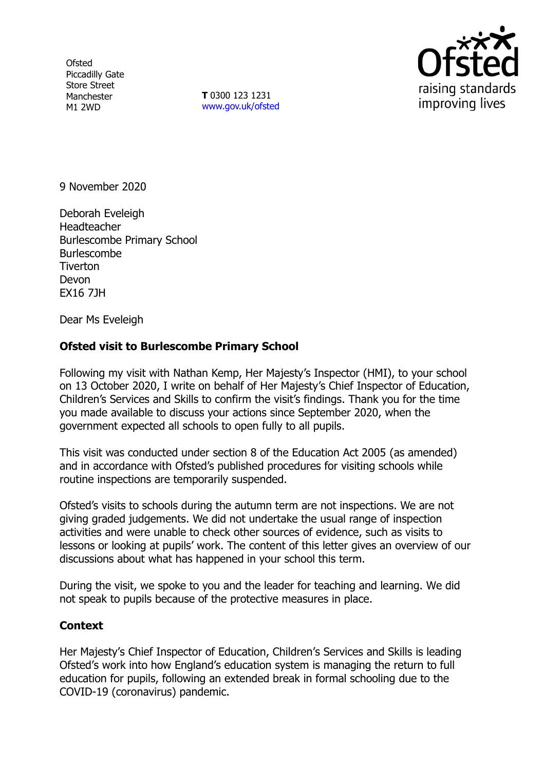**Ofsted** Piccadilly Gate Store Street Manchester M1 2WD

**T** 0300 123 1231 [www.gov.uk/ofsted](http://www.gov.uk/ofsted)



9 November 2020

Deborah Eveleigh **Headteacher** Burlescombe Primary School Burlescombe **Tiverton** Devon EX16 7JH

Dear Ms Eveleigh

## **Ofsted visit to Burlescombe Primary School**

Following my visit with Nathan Kemp, Her Majesty's Inspector (HMI), to your school on 13 October 2020, I write on behalf of Her Majesty's Chief Inspector of Education, Children's Services and Skills to confirm the visit's findings. Thank you for the time you made available to discuss your actions since September 2020, when the government expected all schools to open fully to all pupils.

This visit was conducted under section 8 of the Education Act 2005 (as amended) and in accordance with Ofsted's published procedures for visiting schools while routine inspections are temporarily suspended.

Ofsted's visits to schools during the autumn term are not inspections. We are not giving graded judgements. We did not undertake the usual range of inspection activities and were unable to check other sources of evidence, such as visits to lessons or looking at pupils' work. The content of this letter gives an overview of our discussions about what has happened in your school this term.

During the visit, we spoke to you and the leader for teaching and learning. We did not speak to pupils because of the protective measures in place.

## **Context**

Her Majesty's Chief Inspector of Education, Children's Services and Skills is leading Ofsted's work into how England's education system is managing the return to full education for pupils, following an extended break in formal schooling due to the COVID-19 (coronavirus) pandemic.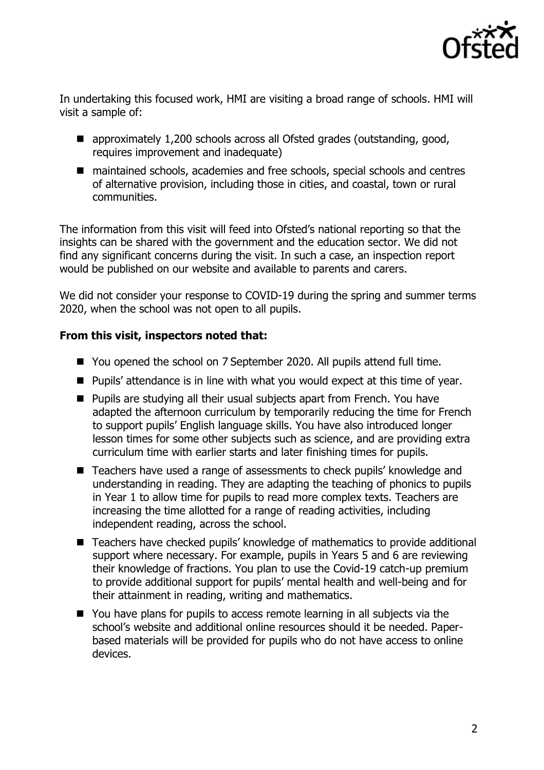

In undertaking this focused work, HMI are visiting a broad range of schools. HMI will visit a sample of:

- approximately 1,200 schools across all Ofsted grades (outstanding, good, requires improvement and inadequate)
- maintained schools, academies and free schools, special schools and centres of alternative provision, including those in cities, and coastal, town or rural communities.

The information from this visit will feed into Ofsted's national reporting so that the insights can be shared with the government and the education sector. We did not find any significant concerns during the visit. In such a case, an inspection report would be published on our website and available to parents and carers.

We did not consider your response to COVID-19 during the spring and summer terms 2020, when the school was not open to all pupils.

## **From this visit, inspectors noted that:**

- You opened the school on 7 September 2020. All pupils attend full time.
- Pupils' attendance is in line with what you would expect at this time of year.
- Pupils are studying all their usual subjects apart from French. You have adapted the afternoon curriculum by temporarily reducing the time for French to support pupils' English language skills. You have also introduced longer lesson times for some other subjects such as science, and are providing extra curriculum time with earlier starts and later finishing times for pupils.
- Teachers have used a range of assessments to check pupils' knowledge and understanding in reading. They are adapting the teaching of phonics to pupils in Year 1 to allow time for pupils to read more complex texts. Teachers are increasing the time allotted for a range of reading activities, including independent reading, across the school.
- Teachers have checked pupils' knowledge of mathematics to provide additional support where necessary. For example, pupils in Years 5 and 6 are reviewing their knowledge of fractions. You plan to use the Covid-19 catch-up premium to provide additional support for pupils' mental health and well-being and for their attainment in reading, writing and mathematics.
- You have plans for pupils to access remote learning in all subjects via the school's website and additional online resources should it be needed. Paperbased materials will be provided for pupils who do not have access to online devices.